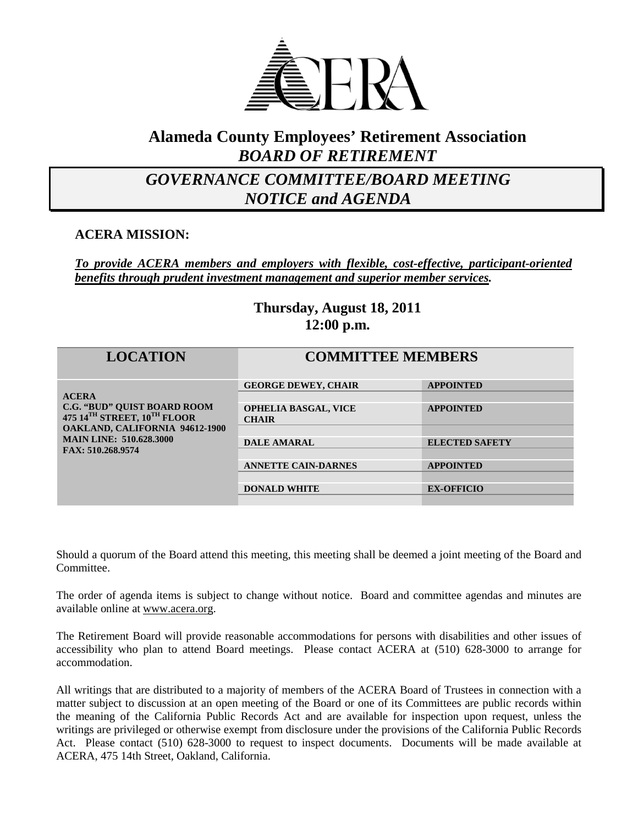

### **Alameda County Employees' Retirement Association** *BOARD OF RETIREMENT*

## *GOVERNANCE COMMITTEE/BOARD MEETING NOTICE and AGENDA*

**ACERA MISSION:**

*To provide ACERA members and employers with flexible, cost-effective, participant-oriented benefits through prudent investment management and superior member services.*

### **Thursday, August 18, 2011 12:00 p.m.**

| <b>LOCATION</b>                                                                                                                                                            | <b>COMMITTEE MEMBERS</b>                    |                       |
|----------------------------------------------------------------------------------------------------------------------------------------------------------------------------|---------------------------------------------|-----------------------|
| <b>ACERA</b><br><b>C.G. "BUD" QUIST BOARD ROOM</b><br>475 14TH STREET, 10TH FLOOR<br>OAKLAND, CALIFORNIA 94612-1900<br><b>MAIN LINE: 510.628.3000</b><br>FAX: 510.268.9574 | <b>GEORGE DEWEY, CHAIR</b>                  | <b>APPOINTED</b>      |
|                                                                                                                                                                            | <b>OPHELIA BASGAL, VICE</b><br><b>CHAIR</b> | <b>APPOINTED</b>      |
|                                                                                                                                                                            |                                             |                       |
|                                                                                                                                                                            | <b>DALE AMARAL</b>                          | <b>ELECTED SAFETY</b> |
|                                                                                                                                                                            | <b>ANNETTE CAIN-DARNES</b>                  | <b>APPOINTED</b>      |
|                                                                                                                                                                            |                                             |                       |
|                                                                                                                                                                            | <b>DONALD WHITE</b>                         | <b>EX-OFFICIO</b>     |
|                                                                                                                                                                            |                                             |                       |

Should a quorum of the Board attend this meeting, this meeting shall be deemed a joint meeting of the Board and Committee.

The order of agenda items is subject to change without notice. Board and committee agendas and minutes are available online at [www.acera.org.](http://www.acera.org/)

The Retirement Board will provide reasonable accommodations for persons with disabilities and other issues of accessibility who plan to attend Board meetings. Please contact ACERA at (510) 628-3000 to arrange for accommodation.

All writings that are distributed to a majority of members of the ACERA Board of Trustees in connection with a matter subject to discussion at an open meeting of the Board or one of its Committees are public records within the meaning of the California Public Records Act and are available for inspection upon request, unless the writings are privileged or otherwise exempt from disclosure under the provisions of the California Public Records Act. Please contact (510) 628-3000 to request to inspect documents. Documents will be made available at ACERA, 475 14th Street, Oakland, California.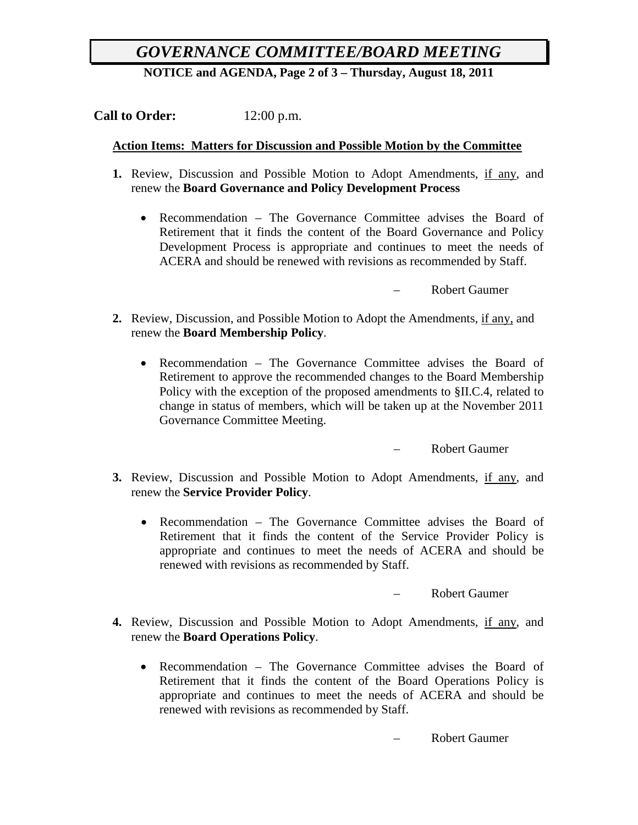# *GOVERNANCE COMMITTEE/BOARD MEETING*

**NOTICE and AGENDA, Page 2 of 3 – Thursday, August 18, 2011**

**Call to Order:** 12:00 p.m.

#### **Action Items: Matters for Discussion and Possible Motion by the Committee**

- **1.** Review, Discussion and Possible Motion to Adopt Amendments, if any, and renew the **Board Governance and Policy Development Process**
	- Recommendation The Governance Committee advises the Board of Retirement that it finds the content of the Board Governance and Policy Development Process is appropriate and continues to meet the needs of ACERA and should be renewed with revisions as recommended by Staff.

– Robert Gaumer

- **2.** Review, Discussion, and Possible Motion to Adopt the Amendments, if any, and renew the **Board Membership Policy**.
	- Recommendation The Governance Committee advises the Board of Retirement to approve the recommended changes to the Board Membership Policy with the exception of the proposed amendments to §II.C.4, related to change in status of members, which will be taken up at the November 2011 Governance Committee Meeting.

– Robert Gaumer

- **3.** Review, Discussion and Possible Motion to Adopt Amendments, if any, and renew the **Service Provider Policy**.
	- Recommendation The Governance Committee advises the Board of Retirement that it finds the content of the Service Provider Policy is appropriate and continues to meet the needs of ACERA and should be renewed with revisions as recommended by Staff.

– Robert Gaumer

- **4.** Review, Discussion and Possible Motion to Adopt Amendments, if any, and renew the **Board Operations Policy**.
	- Recommendation The Governance Committee advises the Board of Retirement that it finds the content of the Board Operations Policy is appropriate and continues to meet the needs of ACERA and should be renewed with revisions as recommended by Staff.